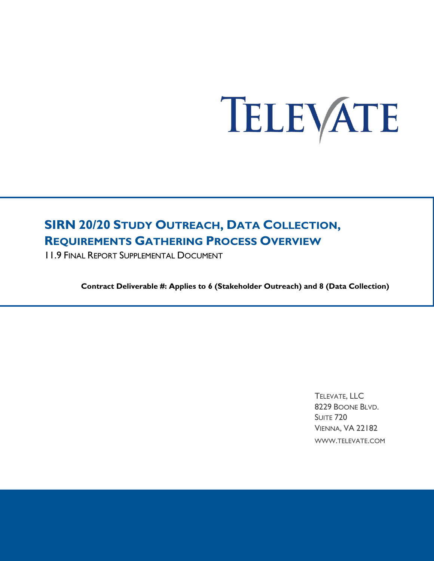# TELEVATE

# **SIRN 20/20 STUDY OUTREACH, DATA COLLECTION, REQUIREMENTS GATHERING PROCESS OVERVIEW**

11.9 FINAL REPORT SUPPLEMENTAL DOCUMENT

**Contract Deliverable #: Applies to 6 (Stakeholder Outreach) and 8 (Data Collection)**

TELEVATE, LLC 8229 BOONE BLVD. SUITE 720 VIENNA, VA 22182 WWW.TELEVATE.COM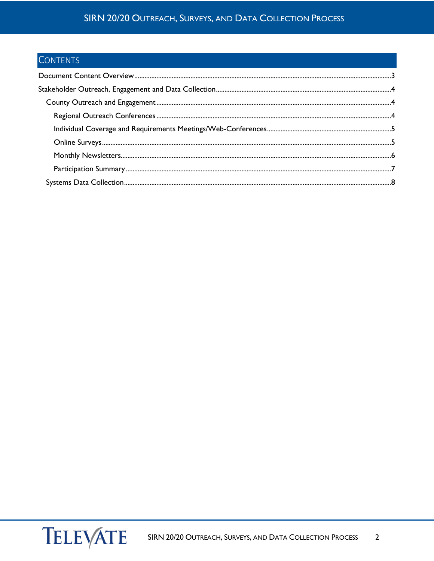## SIRN 20/20 OUTREACH, SURVEYS, AND DATA COLLECTION PROCESS

# **CONTENTS**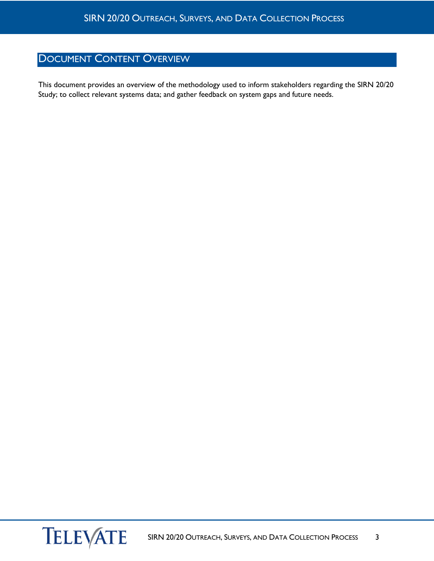# <span id="page-2-0"></span>DOCUMENT CONTENT OVERVIEW

This document provides an overview of the methodology used to inform stakeholders regarding the SIRN 20/20 Study; to collect relevant systems data; and gather feedback on system gaps and future needs.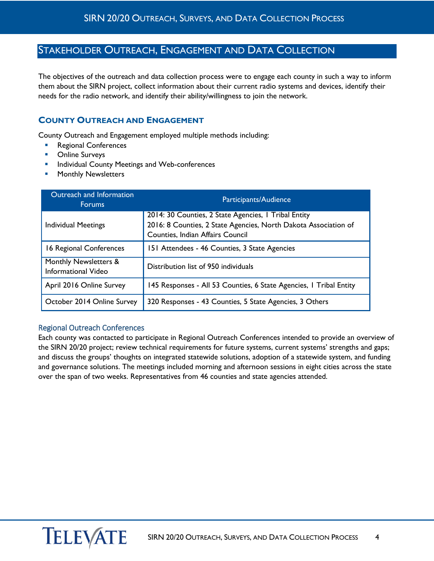## <span id="page-3-0"></span>STAKEHOLDER OUTREACH, ENGAGEMENT AND DATA COLLECTION

The objectives of the outreach and data collection process were to engage each county in such a way to inform them about the SIRN project, collect information about their current radio systems and devices, identify their needs for the radio network, and identify their ability/willingness to join the network.

#### <span id="page-3-1"></span>**COUNTY OUTREACH AND ENGAGEMENT**

County Outreach and Engagement employed multiple methods including:

- Regional Conferences
- **•** Online Surveys
- **Individual County Meetings and Web-conferences**
- Monthly Newsletters

| Outreach and Information<br><b>Forums</b>    | Participants/Audience                                                                                                                                       |
|----------------------------------------------|-------------------------------------------------------------------------------------------------------------------------------------------------------------|
| <b>Individual Meetings</b>                   | 2014: 30 Counties, 2 State Agencies, 1 Tribal Entity<br>2016: 8 Counties, 2 State Agencies, North Dakota Association of<br>Counties, Indian Affairs Council |
| 16 Regional Conferences                      | 151 Attendees - 46 Counties, 3 State Agencies                                                                                                               |
| Monthly Newsletters &<br>Informational Video | Distribution list of 950 individuals                                                                                                                        |
| April 2016 Online Survey                     | 145 Responses - All 53 Counties, 6 State Agencies, 1 Tribal Entity                                                                                          |
| October 2014 Online Survey                   | 320 Responses - 43 Counties, 5 State Agencies, 3 Others                                                                                                     |

#### <span id="page-3-2"></span>Regional Outreach Conferences

Each county was contacted to participate in Regional Outreach Conferences intended to provide an overview of the SIRN 20/20 project; review technical requirements for future systems, current systems' strengths and gaps; and discuss the groups' thoughts on integrated statewide solutions, adoption of a statewide system, and funding and governance solutions. The meetings included morning and afternoon sessions in eight cities across the state over the span of two weeks. Representatives from 46 counties and state agencies attended.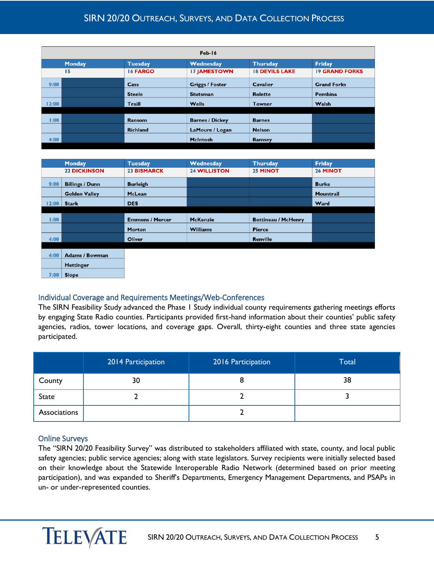## SIRN 20/20 OUTREACH, SURVEYS, AND DATA COLLECTION PROCESS

| Feb-16 |               |                 |                        |                       |                       |
|--------|---------------|-----------------|------------------------|-----------------------|-----------------------|
|        | <b>Monday</b> | <b>Tuesday</b>  | Wednesday              | <b>Thursday</b>       | <b>Friday</b>         |
|        | 15            | 16 FARGO        | <b>17 JAMESTOWN</b>    | <b>18 DEVILS LAKE</b> | <b>19 GRAND FORKS</b> |
| 9:00   |               | Cass            | <b>Griggs / Foster</b> | <b>Cavalier</b>       | <b>Grand Forks</b>    |
|        |               | <b>Steele</b>   | <b>Stutsman</b>        | <b>Rolette</b>        | Pembina               |
| 12:00  |               | Traill          | <b>Wells</b>           | <b>Towner</b>         | Walsh                 |
|        |               |                 |                        |                       |                       |
| 1:00   |               | Ransom          | <b>Barnes / Dickey</b> | <b>Barnes</b>         |                       |
|        |               | <b>Richland</b> | LaMoure / Logan        | <b>Nelson</b>         |                       |
| 4:00   |               |                 | <b>McIntosh</b>        | Ramsey                |                       |
|        |               |                 |                        |                       |                       |

|       | <b>Monday</b>          | <b>Tuesday</b>         | Wednesday           | <b>Thursday</b>            | <b>Friday</b> |
|-------|------------------------|------------------------|---------------------|----------------------------|---------------|
|       | <b>22 DICKINSON</b>    | <b>23 BISMARCK</b>     | <b>24 WILLISTON</b> | 25 MINOT                   | 26 MINOT      |
| 9:00  | <b>Billings / Dunn</b> | <b>Burleigh</b>        |                     |                            | <b>Burke</b>  |
|       | <b>Golden Valley</b>   | McLean                 |                     |                            | Mountrail     |
| 12:00 | <b>Stark</b>           | <b>DES</b>             |                     |                            | Ward          |
|       |                        |                        |                     |                            |               |
| 1:00  |                        | <b>Emmons / Mercer</b> | <b>McKenzie</b>     | <b>Bottineau / McHenry</b> |               |
|       |                        | <b>Morton</b>          | <b>Williams</b>     | Pierce                     |               |
| 4:00  |                        | Oliver                 |                     | Renville                   |               |
|       |                        |                        |                     |                            |               |
|       |                        |                        |                     |                            |               |

| $4:00$   Adams / Bowman |  |
|-------------------------|--|
| <b>Hettinger</b>        |  |
| $7.00 \mid$ Slope       |  |

#### <span id="page-4-0"></span>Individual Coverage and Requirements Meetings/Web-Conferences

The SIRN Feasibility Study advanced the Phase 1 Study individual county requirements gathering meetings efforts by engaging State Radio counties. Participants provided first-hand information about their counties' public safety agencies, radios, tower locations, and coverage gaps. Overall, thirty-eight counties and three state agencies participated.

|              | 2014 Participation | 2016 Participation | <b>Total</b> |
|--------------|--------------------|--------------------|--------------|
| County       | 30                 |                    | 38           |
| <b>State</b> |                    |                    |              |
| Associations |                    |                    |              |

#### <span id="page-4-1"></span>Online Surveys

The "SIRN 20/20 Feasibility Survey" was distributed to stakeholders affiliated with state, county, and local public safety agencies; public service agencies; along with state legislators. Survey recipients were initially selected based on their knowledge about the Statewide Interoperable Radio Network (determined based on prior meeting participation), and was expanded to Sheriff's Departments, Emergency Management Departments, and PSAPs in un- or under-represented counties.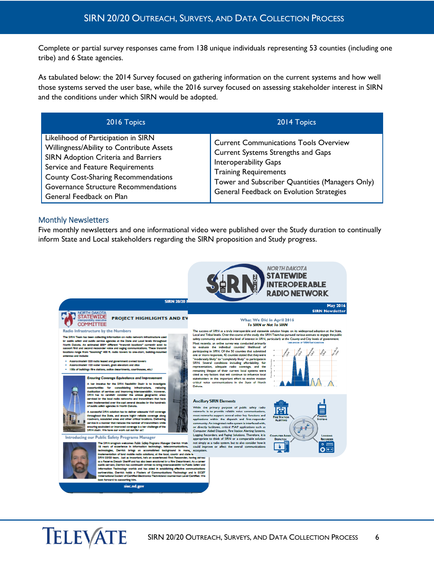Complete or partial survey responses came from 138 unique individuals representing 53 counties (including one tribe) and 6 State agencies.

As tabulated below: the 2014 Survey focused on gathering information on the current systems and how well those systems served the user base, while the 2016 survey focused on assessing stakeholder interest in SIRN and the conditions under which SIRN would be adopted.

| 2016 Topics                                                                                                                                                                                                                                                                  | 2014 Topics                                                                                                                                                                                                                                |
|------------------------------------------------------------------------------------------------------------------------------------------------------------------------------------------------------------------------------------------------------------------------------|--------------------------------------------------------------------------------------------------------------------------------------------------------------------------------------------------------------------------------------------|
| Likelihood of Participation in SIRN<br>Willingness/Ability to Contribute Assets<br>SIRN Adoption Criteria and Barriers<br>Service and Feature Requirements<br><b>County Cost-Sharing Recommendations</b><br>Governance Structure Recommendations<br>General Feedback on Plan | <b>Current Communications Tools Overview</b><br>Current Systems Strengths and Gaps<br>Interoperability Gaps<br><b>Training Requirements</b><br>Tower and Subscriber Quantities (Managers Only)<br>General Feedback on Evolution Strategies |

#### <span id="page-5-0"></span>Monthly Newsletters

Five monthly newsletters and one informational video were published over the Study duration to continually inform State and Local stakeholders regarding the SIRN proposition and Study progress.

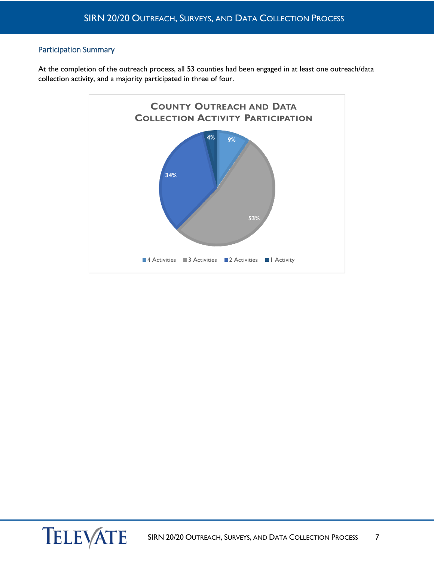#### <span id="page-6-0"></span>Participation Summary

At the completion of the outreach process, all 53 counties had been engaged in at least one outreach/data collection activity, and a majority participated in three of four.